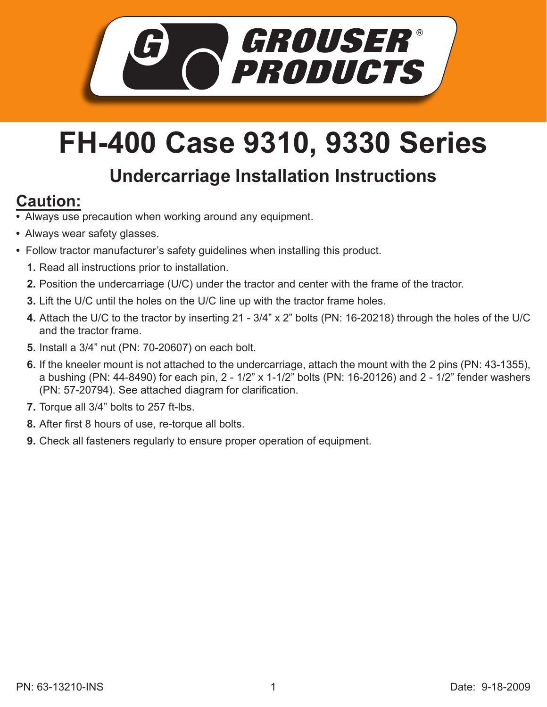

## **FH-400 Case 9310, 9330 Series**

## **Undercarriage Installation Instructions**

## **Caution:**

- Always use precaution when working around any equipment.
- Always wear safety glasses.
- Follow tractor manufacturer's safety guidelines when installing this product.
	- **1.** Read all instructions prior to installation.
	- **2.** Position the undercarriage (U/C) under the tractor and center with the frame of the tractor.
	- **3.** Lift the U/C until the holes on the U/C line up with the tractor frame holes.
	- Attach the U/C to the tractor by inserting 21 3/4" x 2" bolts (PN: 16-20218) through the holes of the U/C **4.** and the tractor frame.
	- **5.** Install a 3/4" nut (PN: 70-20607) on each bolt.
	- **6.** If the kneeler mount is not attached to the undercarriage, attach the mount with the 2 pins (PN: 43-1355), a bushing (PN: 44-8490) for each pin, 2 - 1/2" x 1-1/2" bolts (PN: 16-20126) and 2 - 1/2" fender washers (PN: 57-20794). See attached diagram for clarification.
	- **7.** Torque all 3/4" bolts to 257 ft-lbs.
	- After first 8 hours of use, re-torque all bolts. **8.**
	- **9.** Check all fasteners regularly to ensure proper operation of equipment.